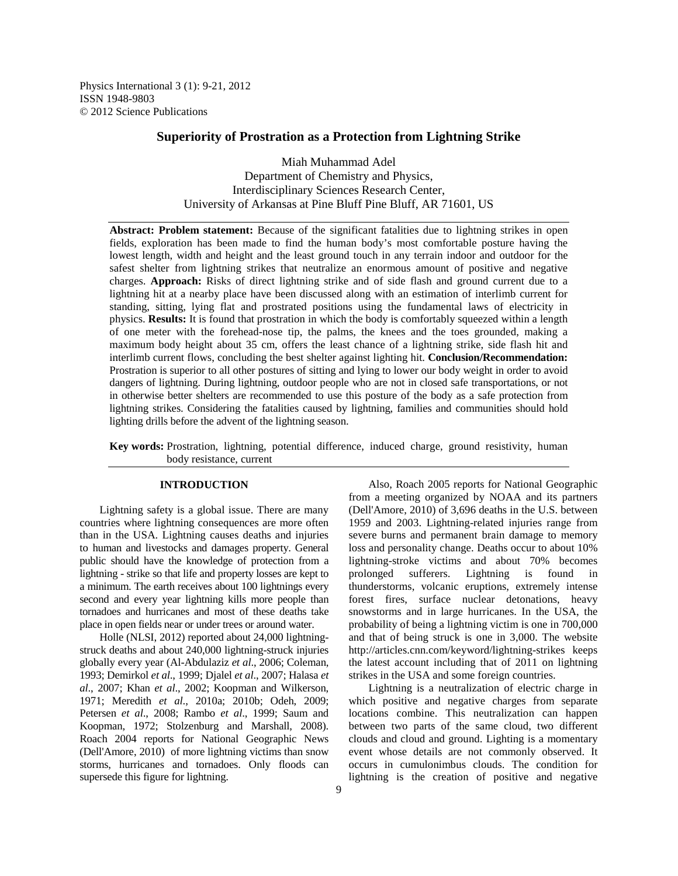Physics International 3 (1): 9-21, 2012 ISSN 1948-9803 © 2012 Science Publications

# **Superiority of Prostration as a Protection from Lightning Strike**

Miah Muhammad Adel Department of Chemistry and Physics, Interdisciplinary Sciences Research Center, University of Arkansas at Pine Bluff Pine Bluff, AR 71601, US

**Abstract: Problem statement:** Because of the significant fatalities due to lightning strikes in open fields, exploration has been made to find the human body's most comfortable posture having the lowest length, width and height and the least ground touch in any terrain indoor and outdoor for the safest shelter from lightning strikes that neutralize an enormous amount of positive and negative charges. **Approach:** Risks of direct lightning strike and of side flash and ground current due to a lightning hit at a nearby place have been discussed along with an estimation of interlimb current for standing, sitting, lying flat and prostrated positions using the fundamental laws of electricity in physics. **Results:** It is found that prostration in which the body is comfortably squeezed within a length of one meter with the forehead-nose tip, the palms, the knees and the toes grounded, making a maximum body height about 35 cm, offers the least chance of a lightning strike, side flash hit and interlimb current flows, concluding the best shelter against lighting hit. **Conclusion/Recommendation:**  Prostration is superior to all other postures of sitting and lying to lower our body weight in order to avoid dangers of lightning. During lightning, outdoor people who are not in closed safe transportations, or not in otherwise better shelters are recommended to use this posture of the body as a safe protection from lightning strikes. Considering the fatalities caused by lightning, families and communities should hold lighting drills before the advent of the lightning season.

**Key words:** Prostration, lightning, potential difference, induced charge, ground resistivity, human body resistance, current

# **INTRODUCTION**

 Lightning safety is a global issue. There are many countries where lightning consequences are more often than in the USA. Lightning causes deaths and injuries to human and livestocks and damages property. General public should have the knowledge of protection from a lightning - strike so that life and property losses are kept to a minimum. The earth receives about 100 lightnings every second and every year lightning kills more people than tornadoes and hurricanes and most of these deaths take place in open fields near or under trees or around water.

 Holle (NLSI, 2012) reported about 24,000 lightningstruck deaths and about 240,000 lightning-struck injuries globally every year (Al-Abdulaziz *et al*., 2006; Coleman, 1993; Demirkol *et al*., 1999; Djalel *et al*., 2007; Halasa *et al*., 2007; Khan *et al*., 2002; Koopman and Wilkerson, 1971; Meredith *et al*., 2010a; 2010b; Odeh, 2009; Petersen *et al*., 2008; Rambo *et al*., 1999; Saum and Koopman, 1972; Stolzenburg and Marshall, 2008). Roach 2004 reports for National Geographic News (Dell'Amore, 2010) of more lightning victims than snow storms, hurricanes and tornadoes. Only floods can supersede this figure for lightning.

Also, Roach 2005 reports for National Geographic from a meeting organized by NOAA and its partners (Dell'Amore, 2010) of 3,696 deaths in the U.S. between 1959 and 2003. Lightning-related injuries range from severe burns and permanent brain damage to memory loss and personality change. Deaths occur to about 10% lightning-stroke victims and about 70% becomes prolonged sufferers. Lightning is found in thunderstorms, volcanic eruptions, extremely intense forest fires, surface nuclear detonations, heavy snowstorms and in large hurricanes. In the USA, the probability of being a lightning victim is one in 700,000 and that of being struck is one in 3,000. The website http://articles.cnn.com/keyword/lightning-strikes keeps the latest account including that of 2011 on lightning strikes in the USA and some foreign countries.

 Lightning is a neutralization of electric charge in which positive and negative charges from separate locations combine. This neutralization can happen between two parts of the same cloud, two different clouds and cloud and ground. Lighting is a momentary event whose details are not commonly observed. It occurs in cumulonimbus clouds. The condition for lightning is the creation of positive and negative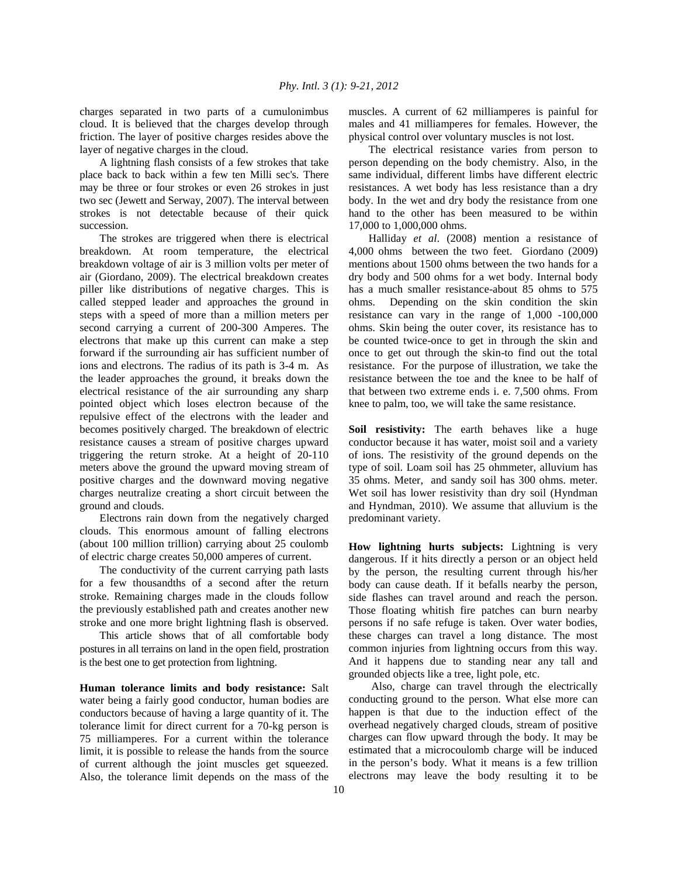charges separated in two parts of a cumulonimbus cloud. It is believed that the charges develop through friction. The layer of positive charges resides above the layer of negative charges in the cloud.

 A lightning flash consists of a few strokes that take place back to back within a few ten Milli sec's. There may be three or four strokes or even 26 strokes in just two sec (Jewett and Serway, 2007). The interval between strokes is not detectable because of their quick succession.

 The strokes are triggered when there is electrical breakdown. At room temperature, the electrical breakdown voltage of air is 3 million volts per meter of air (Giordano, 2009). The electrical breakdown creates piller like distributions of negative charges. This is called stepped leader and approaches the ground in steps with a speed of more than a million meters per second carrying a current of 200-300 Amperes. The electrons that make up this current can make a step forward if the surrounding air has sufficient number of ions and electrons. The radius of its path is 3-4 m. As the leader approaches the ground, it breaks down the electrical resistance of the air surrounding any sharp pointed object which loses electron because of the repulsive effect of the electrons with the leader and becomes positively charged. The breakdown of electric resistance causes a stream of positive charges upward triggering the return stroke. At a height of 20-110 meters above the ground the upward moving stream of positive charges and the downward moving negative charges neutralize creating a short circuit between the ground and clouds.

 Electrons rain down from the negatively charged clouds. This enormous amount of falling electrons (about 100 million trillion) carrying about 25 coulomb of electric charge creates 50,000 amperes of current.

 The conductivity of the current carrying path lasts for a few thousandths of a second after the return stroke. Remaining charges made in the clouds follow the previously established path and creates another new stroke and one more bright lightning flash is observed.

 This article shows that of all comfortable body postures in all terrains on land in the open field, prostration is the best one to get protection from lightning.

**Human tolerance limits and body resistance:** Salt water being a fairly good conductor, human bodies are conductors because of having a large quantity of it. The tolerance limit for direct current for a 70-kg person is 75 milliamperes. For a current within the tolerance limit, it is possible to release the hands from the source of current although the joint muscles get squeezed. Also, the tolerance limit depends on the mass of the muscles. A current of 62 milliamperes is painful for males and 41 milliamperes for females. However, the physical control over voluntary muscles is not lost.

 The electrical resistance varies from person to person depending on the body chemistry. Also, in the same individual, different limbs have different electric resistances. A wet body has less resistance than a dry body. In the wet and dry body the resistance from one hand to the other has been measured to be within 17,000 to 1,000,000 ohms.

 Halliday *et al*. (2008) mention a resistance of 4,000 ohms between the two feet. Giordano (2009) mentions about 1500 ohms between the two hands for a dry body and 500 ohms for a wet body. Internal body has a much smaller resistance-about 85 ohms to 575 ohms. Depending on the skin condition the skin resistance can vary in the range of 1,000 -100,000 ohms. Skin being the outer cover, its resistance has to be counted twice-once to get in through the skin and once to get out through the skin-to find out the total resistance. For the purpose of illustration, we take the resistance between the toe and the knee to be half of that between two extreme ends i. e. 7,500 ohms. From knee to palm, too, we will take the same resistance.

**Soil resistivity:** The earth behaves like a huge conductor because it has water, moist soil and a variety of ions. The resistivity of the ground depends on the type of soil. Loam soil has 25 ohmmeter, alluvium has 35 ohms. Meter, and sandy soil has 300 ohms. meter. Wet soil has lower resistivity than dry soil (Hyndman and Hyndman, 2010). We assume that alluvium is the predominant variety.

**How lightning hurts subjects:** Lightning is very dangerous. If it hits directly a person or an object held by the person, the resulting current through his/her body can cause death. If it befalls nearby the person, side flashes can travel around and reach the person. Those floating whitish fire patches can burn nearby persons if no safe refuge is taken. Over water bodies, these charges can travel a long distance. The most common injuries from lightning occurs from this way. And it happens due to standing near any tall and grounded objects like a tree, light pole, etc.

 Also, charge can travel through the electrically conducting ground to the person. What else more can happen is that due to the induction effect of the overhead negatively charged clouds, stream of positive charges can flow upward through the body. It may be estimated that a microcoulomb charge will be induced in the person's body. What it means is a few trillion electrons may leave the body resulting it to be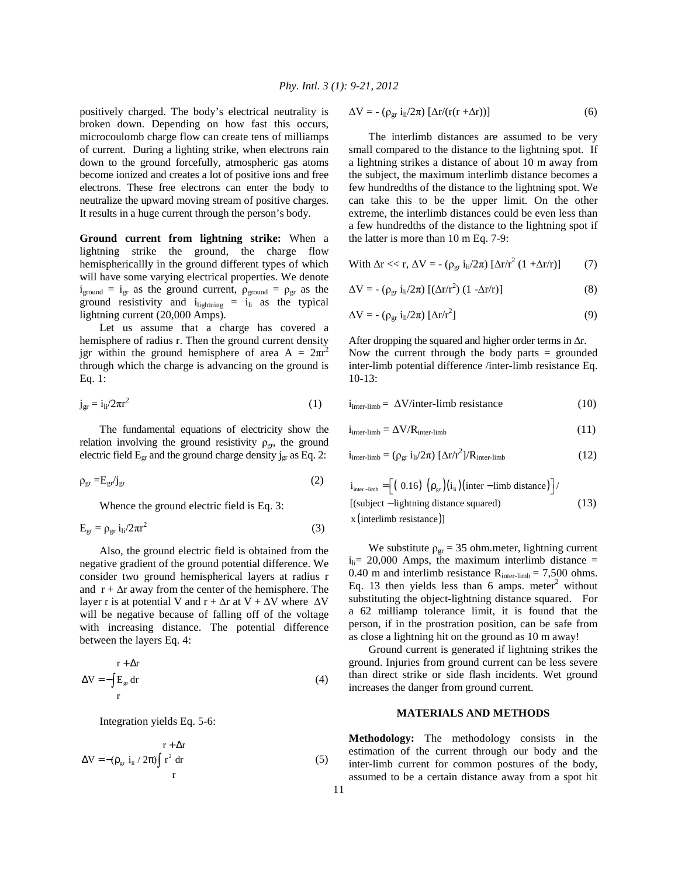positively charged. The body's electrical neutrality is broken down. Depending on how fast this occurs, microcoulomb charge flow can create tens of milliamps of current. During a lighting strike, when electrons rain down to the ground forcefully, atmospheric gas atoms become ionized and creates a lot of positive ions and free electrons. These free electrons can enter the body to neutralize the upward moving stream of positive charges. It results in a huge current through the person's body.

**Ground current from lightning strike:** When a lightning strike the ground, the charge flow hemisphericallly in the ground different types of which will have some varying electrical properties. We denote  $i_{\text{ground}} = i_{\text{gr}}$  as the ground current,  $\rho_{\text{ground}} = \rho_{\text{gr}}$  as the ground resistivity and  $i_{lightning} = i_{li}$  as the typical lightning current (20,000 Amps).

 Let us assume that a charge has covered a hemisphere of radius r. Then the ground current density jgr within the ground hemisphere of area  $A = 2\pi r^2$ through which the charge is advancing on the ground is Eq. 1:

$$
j_{gr} = i_{li}/2\pi r^2
$$
 (1)

 The fundamental equations of electricity show the relation involving the ground resistivity  $\rho_{gr}$ , the ground electric field  $E_{gr}$  and the ground charge density  $j_{gr}$  as Eq. 2:

$$
\rho_{\rm gr} = E_{\rm gr}/j_{\rm gr} \tag{2}
$$

Whence the ground electric field is Eq. 3:

$$
E_{gr} = \rho_{gr} i_{li}/2\pi r^2 \tag{3}
$$

 Also, the ground electric field is obtained from the negative gradient of the ground potential difference. We consider two ground hemispherical layers at radius r and  $r + \Delta r$  away from the center of the hemisphere. The layer r is at potential V and r +  $\Delta$ r at V +  $\Delta$ V where  $\Delta$ V will be negative because of falling off of the voltage with increasing distance. The potential difference between the layers Eq. 4:

$$
\Delta V = -\int_{\Gamma} E_{gr} dr
$$
 (4)

Integration yields Eq. 5-6:

$$
\Delta V = -(\rho_{gr} i_{li} / 2\pi) \int_{r}^{r + \Delta r} r^2 dr
$$
 (5)

$$
\Delta V = -\left(\rho_{gr} i_{li}/2\pi\right) \left[\Delta r/(r(r + \Delta r))\right]
$$
 (6)

 The interlimb distances are assumed to be very small compared to the distance to the lightning spot. If a lightning strikes a distance of about 10 m away from the subject, the maximum interlimb distance becomes a few hundredths of the distance to the lightning spot. We can take this to be the upper limit. On the other extreme, the interlimb distances could be even less than a few hundredths of the distance to the lightning spot if the latter is more than 10 m Eq. 7-9:

With 
$$
\Delta r \ll r
$$
,  $\Delta V = -(\rho_{gr} i_{li}/2\pi) [\Delta r/r^2 (1 + \Delta r/r)]$  (7)

$$
\Delta V = -\left(\rho_{gr} i_{li}/2\pi\right) \left[ \left(\Delta r/r^2\right) \left(1 - \Delta r/r\right) \right] \tag{8}
$$

$$
\Delta V = -\left(\rho_{gr} i_{li}/2\pi\right) \left[\Delta r/r^2\right] \tag{9}
$$

After dropping the squared and higher order terms in ∆r. Now the current through the body parts  $=$  grounded inter-limb potential difference /inter-limb resistance Eq. 10-13:

$$
i_{\text{inter-limb}} = \Delta V / \text{inter-limb resistance}
$$
 (10)

$$
i_{\text{inter-limb}} = \Delta V / R_{\text{inter-limb}} \tag{11}
$$

$$
i_{\text{inter-limb}} = (\rho_{gr} i_{li}/2\pi) [\Delta r/r^2] / R_{\text{inter-limb}} \tag{12}
$$

$$
i_{\text{inter-limb}} = \left[ \begin{array}{cc} (0.16) \ (\rho_{\text{gr}}) (i_{\text{li}}) (\text{inter-limb distance}) \end{array} \right] /
$$
  
[(subject – lightning distance squared)  
x (interlimb resistance)] (13)

x (interlimb resistance)]

We substitute  $\rho_{gr} = 35$  ohm.meter, lightning current  $i_{li}= 20,000$  Amps, the maximum interlimb distance = 0.40 m and interlimb resistance  $R_{inter-limb} = 7,500$  ohms. Eq. 13 then yields less than 6 amps. meter<sup>2</sup> without substituting the object-lightning distance squared. For a 62 milliamp tolerance limit, it is found that the person, if in the prostration position, can be safe from as close a lightning hit on the ground as 10 m away!

 Ground current is generated if lightning strikes the ground. Injuries from ground current can be less severe than direct strike or side flash incidents. Wet ground increases the danger from ground current.

## **MATERIALS AND METHODS**

**Methodology:** The methodology consists in the estimation of the current through our body and the inter-limb current for common postures of the body, assumed to be a certain distance away from a spot hit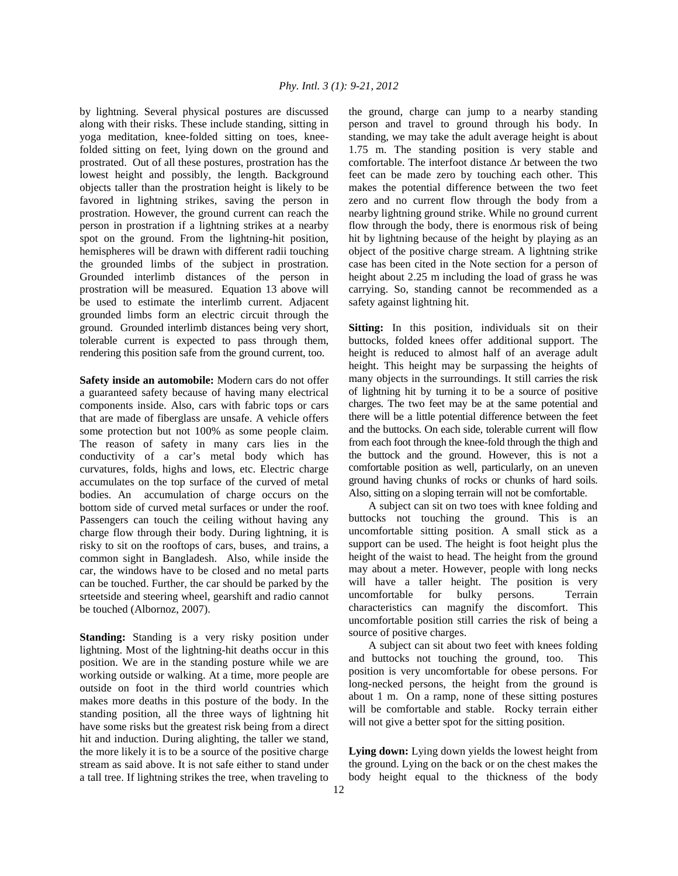by lightning. Several physical postures are discussed along with their risks. These include standing, sitting in yoga meditation, knee-folded sitting on toes, kneefolded sitting on feet, lying down on the ground and prostrated. Out of all these postures, prostration has the lowest height and possibly, the length. Background objects taller than the prostration height is likely to be favored in lightning strikes, saving the person in prostration. However, the ground current can reach the person in prostration if a lightning strikes at a nearby spot on the ground. From the lightning-hit position, hemispheres will be drawn with different radii touching the grounded limbs of the subject in prostration. Grounded interlimb distances of the person in prostration will be measured. Equation 13 above will be used to estimate the interlimb current. Adjacent grounded limbs form an electric circuit through the ground. Grounded interlimb distances being very short, tolerable current is expected to pass through them, rendering this position safe from the ground current, too.

**Safety inside an automobile:** Modern cars do not offer a guaranteed safety because of having many electrical components inside. Also, cars with fabric tops or cars that are made of fiberglass are unsafe. A vehicle offers some protection but not 100% as some people claim. The reason of safety in many cars lies in the conductivity of a car's metal body which has curvatures, folds, highs and lows, etc. Electric charge accumulates on the top surface of the curved of metal bodies. An accumulation of charge occurs on the bottom side of curved metal surfaces or under the roof. Passengers can touch the ceiling without having any charge flow through their body. During lightning, it is risky to sit on the rooftops of cars, buses, and trains, a common sight in Bangladesh. Also, while inside the car, the windows have to be closed and no metal parts can be touched. Further, the car should be parked by the srteetside and steering wheel, gearshift and radio cannot be touched (Albornoz, 2007).

**Standing:** Standing is a very risky position under lightning. Most of the lightning-hit deaths occur in this position. We are in the standing posture while we are working outside or walking. At a time, more people are outside on foot in the third world countries which makes more deaths in this posture of the body. In the standing position, all the three ways of lightning hit have some risks but the greatest risk being from a direct hit and induction. During alighting, the taller we stand, the more likely it is to be a source of the positive charge stream as said above. It is not safe either to stand under a tall tree. If lightning strikes the tree, when traveling to

the ground, charge can jump to a nearby standing person and travel to ground through his body. In standing, we may take the adult average height is about 1.75 m. The standing position is very stable and comfortable. The interfoot distance ∆r between the two feet can be made zero by touching each other. This makes the potential difference between the two feet zero and no current flow through the body from a nearby lightning ground strike. While no ground current flow through the body, there is enormous risk of being hit by lightning because of the height by playing as an object of the positive charge stream. A lightning strike case has been cited in the Note section for a person of height about 2.25 m including the load of grass he was carrying. So, standing cannot be recommended as a safety against lightning hit.

**Sitting:** In this position, individuals sit on their buttocks, folded knees offer additional support. The height is reduced to almost half of an average adult height. This height may be surpassing the heights of many objects in the surroundings. It still carries the risk of lightning hit by turning it to be a source of positive charges. The two feet may be at the same potential and there will be a little potential difference between the feet and the buttocks. On each side, tolerable current will flow from each foot through the knee-fold through the thigh and the buttock and the ground. However, this is not a comfortable position as well, particularly, on an uneven ground having chunks of rocks or chunks of hard soils. Also, sitting on a sloping terrain will not be comfortable.

 A subject can sit on two toes with knee folding and buttocks not touching the ground. This is an uncomfortable sitting position. A small stick as a support can be used. The height is foot height plus the height of the waist to head. The height from the ground may about a meter. However, people with long necks will have a taller height. The position is very uncomfortable for bulky persons. Terrain characteristics can magnify the discomfort. This uncomfortable position still carries the risk of being a source of positive charges.

 A subject can sit about two feet with knees folding and buttocks not touching the ground, too. This position is very uncomfortable for obese persons. For long-necked persons, the height from the ground is about 1 m. On a ramp, none of these sitting postures will be comfortable and stable. Rocky terrain either will not give a better spot for the sitting position.

**Lying down:** Lying down yields the lowest height from the ground. Lying on the back or on the chest makes the body height equal to the thickness of the body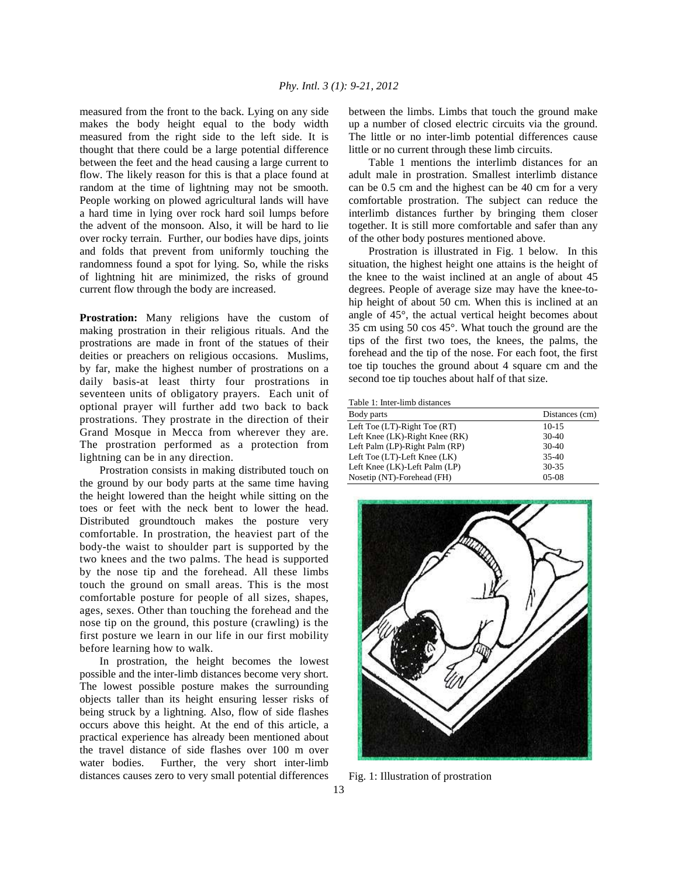measured from the front to the back. Lying on any side makes the body height equal to the body width measured from the right side to the left side. It is thought that there could be a large potential difference between the feet and the head causing a large current to flow. The likely reason for this is that a place found at random at the time of lightning may not be smooth. People working on plowed agricultural lands will have a hard time in lying over rock hard soil lumps before the advent of the monsoon. Also, it will be hard to lie over rocky terrain. Further, our bodies have dips, joints and folds that prevent from uniformly touching the randomness found a spot for lying. So, while the risks of lightning hit are minimized, the risks of ground current flow through the body are increased.

**Prostration:** Many religions have the custom of making prostration in their religious rituals. And the prostrations are made in front of the statues of their deities or preachers on religious occasions. Muslims, by far, make the highest number of prostrations on a daily basis-at least thirty four prostrations in seventeen units of obligatory prayers. Each unit of optional prayer will further add two back to back prostrations. They prostrate in the direction of their Grand Mosque in Mecca from wherever they are. The prostration performed as a protection from lightning can be in any direction.

 Prostration consists in making distributed touch on the ground by our body parts at the same time having the height lowered than the height while sitting on the toes or feet with the neck bent to lower the head. Distributed groundtouch makes the posture very comfortable. In prostration, the heaviest part of the body-the waist to shoulder part is supported by the two knees and the two palms. The head is supported by the nose tip and the forehead. All these limbs touch the ground on small areas. This is the most comfortable posture for people of all sizes, shapes, ages, sexes. Other than touching the forehead and the nose tip on the ground, this posture (crawling) is the first posture we learn in our life in our first mobility before learning how to walk.

 In prostration, the height becomes the lowest possible and the inter-limb distances become very short. The lowest possible posture makes the surrounding objects taller than its height ensuring lesser risks of being struck by a lightning. Also, flow of side flashes occurs above this height. At the end of this article, a practical experience has already been mentioned about the travel distance of side flashes over 100 m over water bodies. Further, the very short inter-limb distances causes zero to very small potential differences

between the limbs. Limbs that touch the ground make up a number of closed electric circuits via the ground. The little or no inter-limb potential differences cause little or no current through these limb circuits.

 Table 1 mentions the interlimb distances for an adult male in prostration. Smallest interlimb distance can be 0.5 cm and the highest can be 40 cm for a very comfortable prostration. The subject can reduce the interlimb distances further by bringing them closer together. It is still more comfortable and safer than any of the other body postures mentioned above.

 Prostration is illustrated in Fig. 1 below. In this situation, the highest height one attains is the height of the knee to the waist inclined at an angle of about 45 degrees. People of average size may have the knee-tohip height of about 50 cm. When this is inclined at an angle of 45°, the actual vertical height becomes about 35 cm using 50 cos 45°. What touch the ground are the tips of the first two toes, the knees, the palms, the forehead and the tip of the nose. For each foot, the first toe tip touches the ground about 4 square cm and the second toe tip touches about half of that size.

Table 1: Inter-limb distances

| Body parts                     | Distances (cm) |
|--------------------------------|----------------|
| Left Toe (LT)-Right Toe (RT)   | 10-15          |
| Left Knee (LK)-Right Knee (RK) | $30-40$        |
| Left Palm (LP)-Right Palm (RP) | $30-40$        |
| Left Toe (LT)-Left Knee (LK)   | $35-40$        |
| Left Knee (LK)-Left Palm (LP)  | 30-35          |
| Nosetip (NT)-Forehead (FH)     | $05-08$        |
|                                |                |



Fig. 1: Illustration of prostration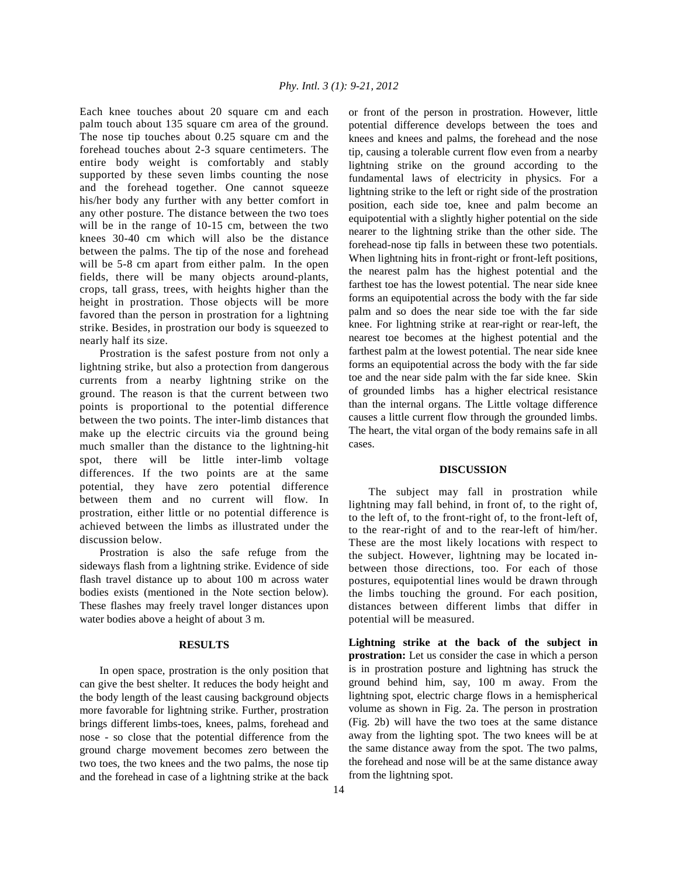Each knee touches about 20 square cm and each palm touch about 135 square cm area of the ground. The nose tip touches about 0.25 square cm and the forehead touches about 2-3 square centimeters. The entire body weight is comfortably and stably supported by these seven limbs counting the nose and the forehead together. One cannot squeeze his/her body any further with any better comfort in any other posture. The distance between the two toes will be in the range of 10-15 cm, between the two knees 30-40 cm which will also be the distance between the palms. The tip of the nose and forehead will be 5-8 cm apart from either palm. In the open fields, there will be many objects around-plants, crops, tall grass, trees, with heights higher than the height in prostration. Those objects will be more favored than the person in prostration for a lightning strike. Besides, in prostration our body is squeezed to nearly half its size.

 Prostration is the safest posture from not only a lightning strike, but also a protection from dangerous currents from a nearby lightning strike on the ground. The reason is that the current between two points is proportional to the potential difference between the two points. The inter-limb distances that make up the electric circuits via the ground being much smaller than the distance to the lightning-hit spot, there will be little inter-limb voltage differences. If the two points are at the same potential, they have zero potential difference between them and no current will flow. In prostration, either little or no potential difference is achieved between the limbs as illustrated under the discussion below.

 Prostration is also the safe refuge from the sideways flash from a lightning strike. Evidence of side flash travel distance up to about 100 m across water bodies exists (mentioned in the Note section below). These flashes may freely travel longer distances upon water bodies above a height of about 3 m.

# **RESULTS**

 In open space, prostration is the only position that can give the best shelter. It reduces the body height and the body length of the least causing background objects more favorable for lightning strike. Further, prostration brings different limbs-toes, knees, palms, forehead and nose - so close that the potential difference from the ground charge movement becomes zero between the two toes, the two knees and the two palms, the nose tip and the forehead in case of a lightning strike at the back or front of the person in prostration. However, little potential difference develops between the toes and knees and knees and palms, the forehead and the nose tip, causing a tolerable current flow even from a nearby lightning strike on the ground according to the fundamental laws of electricity in physics. For a lightning strike to the left or right side of the prostration position, each side toe, knee and palm become an equipotential with a slightly higher potential on the side nearer to the lightning strike than the other side. The forehead-nose tip falls in between these two potentials. When lightning hits in front-right or front-left positions, the nearest palm has the highest potential and the farthest toe has the lowest potential. The near side knee forms an equipotential across the body with the far side palm and so does the near side toe with the far side knee. For lightning strike at rear-right or rear-left, the nearest toe becomes at the highest potential and the farthest palm at the lowest potential. The near side knee forms an equipotential across the body with the far side toe and the near side palm with the far side knee. Skin of grounded limbs has a higher electrical resistance than the internal organs. The Little voltage difference causes a little current flow through the grounded limbs. The heart, the vital organ of the body remains safe in all cases.

#### **DISCUSSION**

 The subject may fall in prostration while lightning may fall behind, in front of, to the right of, to the left of, to the front-right of, to the front-left of, to the rear-right of and to the rear-left of him/her. These are the most likely locations with respect to the subject. However, lightning may be located inbetween those directions, too. For each of those postures, equipotential lines would be drawn through the limbs touching the ground. For each position, distances between different limbs that differ in potential will be measured.

**Lightning strike at the back of the subject in prostration:** Let us consider the case in which a person is in prostration posture and lightning has struck the ground behind him, say, 100 m away. From the lightning spot, electric charge flows in a hemispherical volume as shown in Fig. 2a. The person in prostration (Fig. 2b) will have the two toes at the same distance away from the lighting spot. The two knees will be at the same distance away from the spot. The two palms, the forehead and nose will be at the same distance away from the lightning spot.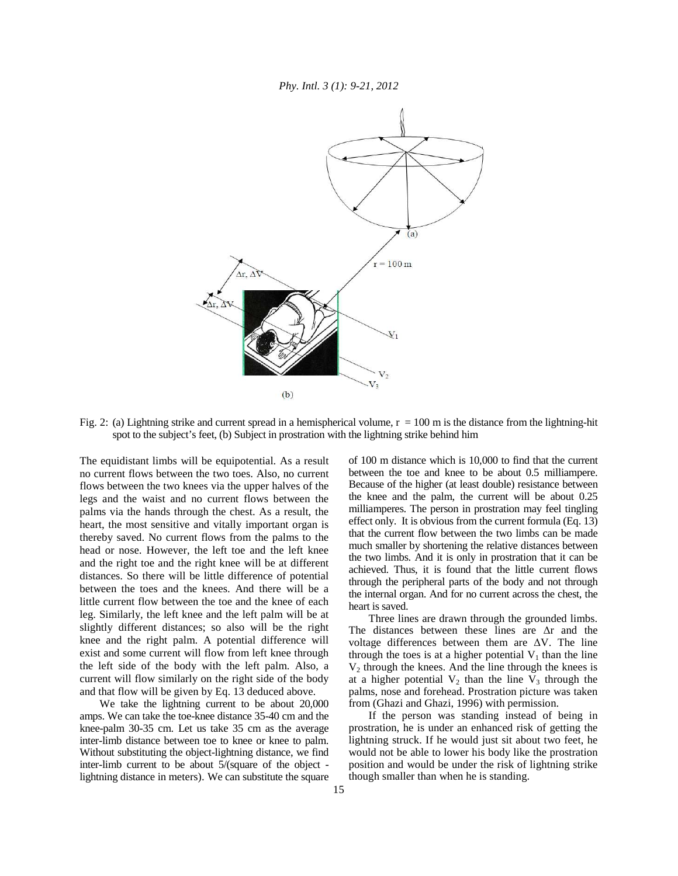

Fig. 2: (a) Lightning strike and current spread in a hemispherical volume,  $r = 100$  m is the distance from the lightning-hit spot to the subject's feet, (b) Subject in prostration with the lightning strike behind him

The equidistant limbs will be equipotential. As a result no current flows between the two toes. Also, no current flows between the two knees via the upper halves of the legs and the waist and no current flows between the palms via the hands through the chest. As a result, the heart, the most sensitive and vitally important organ is thereby saved. No current flows from the palms to the head or nose. However, the left toe and the left knee and the right toe and the right knee will be at different distances. So there will be little difference of potential between the toes and the knees. And there will be a little current flow between the toe and the knee of each leg. Similarly, the left knee and the left palm will be at slightly different distances; so also will be the right knee and the right palm. A potential difference will exist and some current will flow from left knee through the left side of the body with the left palm. Also, a current will flow similarly on the right side of the body and that flow will be given by Eq. 13 deduced above.

 We take the lightning current to be about 20,000 amps. We can take the toe-knee distance 35-40 cm and the knee-palm 30-35 cm. Let us take 35 cm as the average inter-limb distance between toe to knee or knee to palm. Without substituting the object-lightning distance, we find inter-limb current to be about 5/(square of the object lightning distance in meters). We can substitute the square of 100 m distance which is 10,000 to find that the current between the toe and knee to be about 0.5 milliampere. Because of the higher (at least double) resistance between the knee and the palm, the current will be about 0.25 milliamperes. The person in prostration may feel tingling effect only. It is obvious from the current formula (Eq. 13) that the current flow between the two limbs can be made much smaller by shortening the relative distances between the two limbs. And it is only in prostration that it can be achieved. Thus, it is found that the little current flows through the peripheral parts of the body and not through the internal organ. And for no current across the chest, the heart is saved.

 Three lines are drawn through the grounded limbs. The distances between these lines are ∆r and the voltage differences between them are ∆V. The line through the toes is at a higher potential  $V_1$  than the line  $V_2$  through the knees. And the line through the knees is at a higher potential  $V_2$  than the line  $V_3$  through the palms, nose and forehead. Prostration picture was taken from (Ghazi and Ghazi, 1996) with permission.

 If the person was standing instead of being in prostration, he is under an enhanced risk of getting the lightning struck. If he would just sit about two feet, he would not be able to lower his body like the prostration position and would be under the risk of lightning strike though smaller than when he is standing.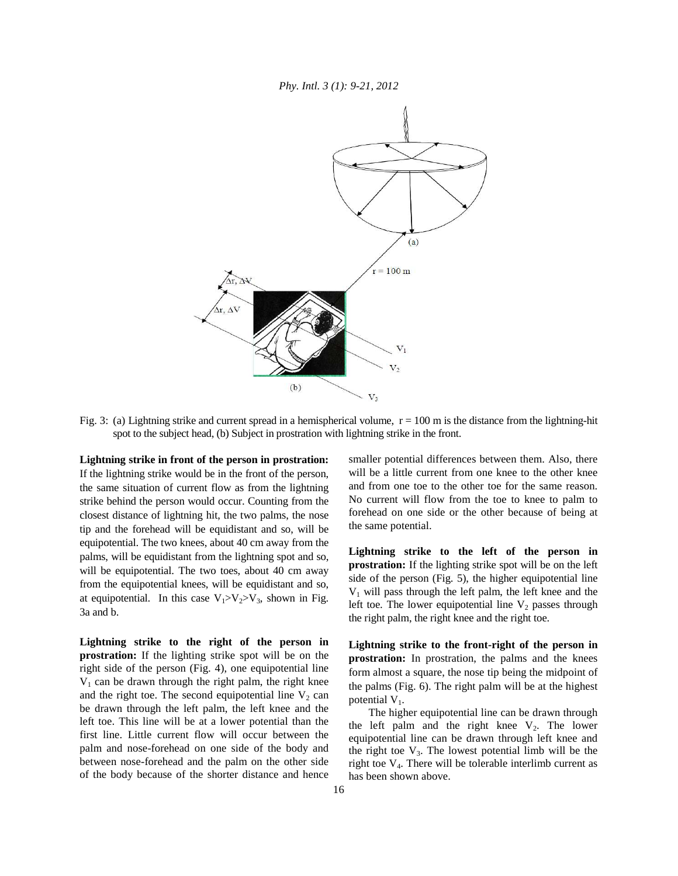

Fig. 3: (a) Lightning strike and current spread in a hemispherical volume,  $r = 100$  m is the distance from the lightning-hit spot to the subject head, (b) Subject in prostration with lightning strike in the front.

#### **Lightning strike in front of the person in prostration:**

If the lightning strike would be in the front of the person, the same situation of current flow as from the lightning strike behind the person would occur. Counting from the closest distance of lightning hit, the two palms, the nose tip and the forehead will be equidistant and so, will be equipotential. The two knees, about 40 cm away from the palms, will be equidistant from the lightning spot and so, will be equipotential. The two toes, about 40 cm away from the equipotential knees, will be equidistant and so, at equipotential. In this case  $V_1 > V_2 > V_3$ , shown in Fig. 3a and b.

**Lightning strike to the right of the person in prostration:** If the lighting strike spot will be on the right side of the person (Fig. 4), one equipotential line  $V_1$  can be drawn through the right palm, the right knee and the right toe. The second equipotential line  $V_2$  can be drawn through the left palm, the left knee and the left toe. This line will be at a lower potential than the first line. Little current flow will occur between the palm and nose-forehead on one side of the body and between nose-forehead and the palm on the other side of the body because of the shorter distance and hence smaller potential differences between them. Also, there will be a little current from one knee to the other knee and from one toe to the other toe for the same reason. No current will flow from the toe to knee to palm to forehead on one side or the other because of being at the same potential.

**Lightning strike to the left of the person in prostration:** If the lighting strike spot will be on the left side of the person (Fig. 5), the higher equipotential line  $V_1$  will pass through the left palm, the left knee and the left toe. The lower equipotential line  $V_2$  passes through the right palm, the right knee and the right toe.

**Lightning strike to the front-right of the person in prostration:** In prostration, the palms and the knees form almost a square, the nose tip being the midpoint of the palms (Fig. 6). The right palm will be at the highest potential  $V_1$ .

 The higher equipotential line can be drawn through the left palm and the right knee  $V_2$ . The lower equipotential line can be drawn through left knee and the right toe  $V_3$ . The lowest potential limb will be the right toe  $V_4$ . There will be tolerable interlimb current as has been shown above.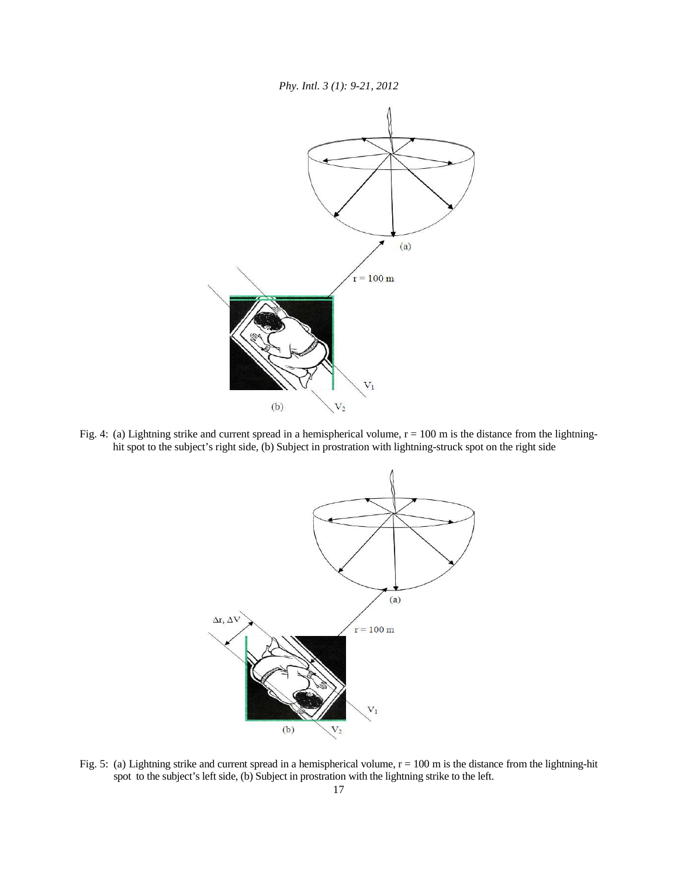*Phy. Intl. 3 (1): 9-21, 2012* 



Fig. 4: (a) Lightning strike and current spread in a hemispherical volume,  $r = 100$  m is the distance from the lightninghit spot to the subject's right side, (b) Subject in prostration with lightning-struck spot on the right side



Fig. 5: (a) Lightning strike and current spread in a hemispherical volume,  $r = 100$  m is the distance from the lightning-hit spot to the subject's left side, (b) Subject in prostration with the lightning strike to the left.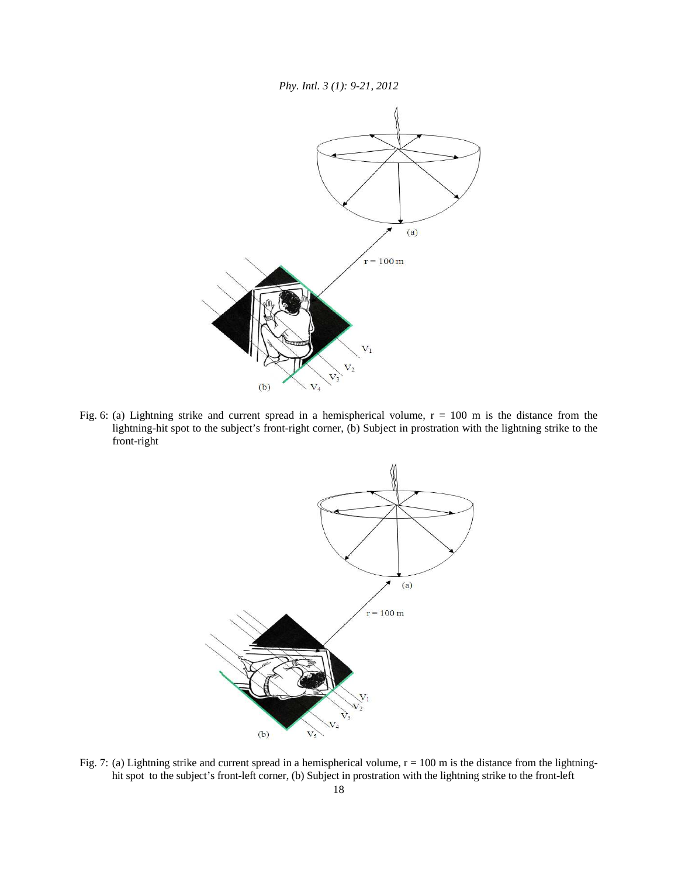*Phy. Intl. 3 (1): 9-21, 2012* 



Fig. 6: (a) Lightning strike and current spread in a hemispherical volume,  $r = 100$  m is the distance from the lightning-hit spot to the subject's front-right corner, (b) Subject in prostration with the lightning strike to the front-right



Fig. 7: (a) Lightning strike and current spread in a hemispherical volume,  $r = 100$  m is the distance from the lightninghit spot to the subject's front-left corner, (b) Subject in prostration with the lightning strike to the front-left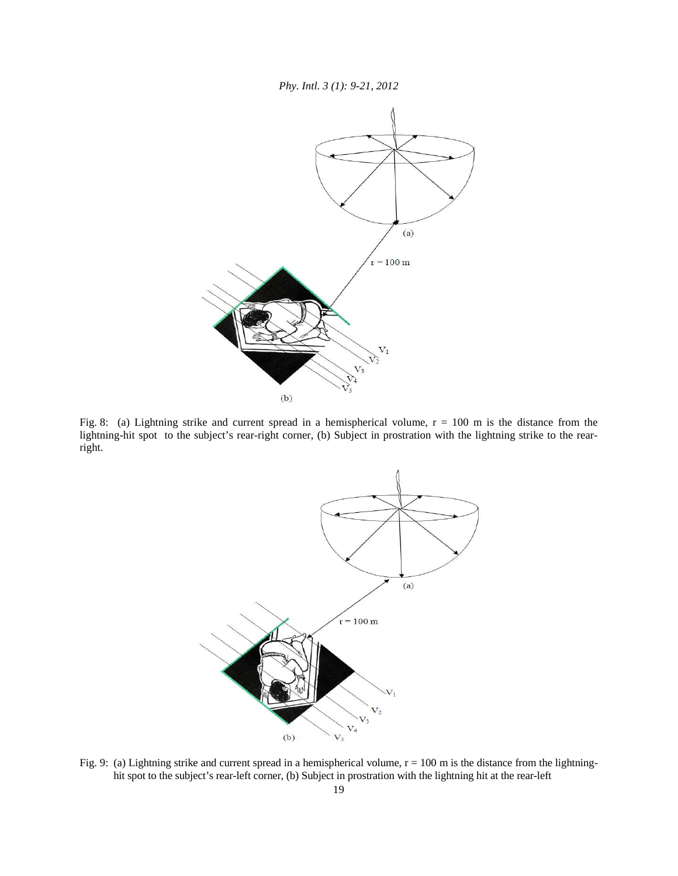*Phy. Intl. 3 (1): 9-21, 2012* 



Fig. 8: (a) Lightning strike and current spread in a hemispherical volume,  $r = 100$  m is the distance from the lightning-hit spot to the subject's rear-right corner, (b) Subject in prostration with the lightning strike to the rearright.



Fig. 9: (a) Lightning strike and current spread in a hemispherical volume,  $r = 100$  m is the distance from the lightninghit spot to the subject's rear-left corner, (b) Subject in prostration with the lightning hit at the rear-left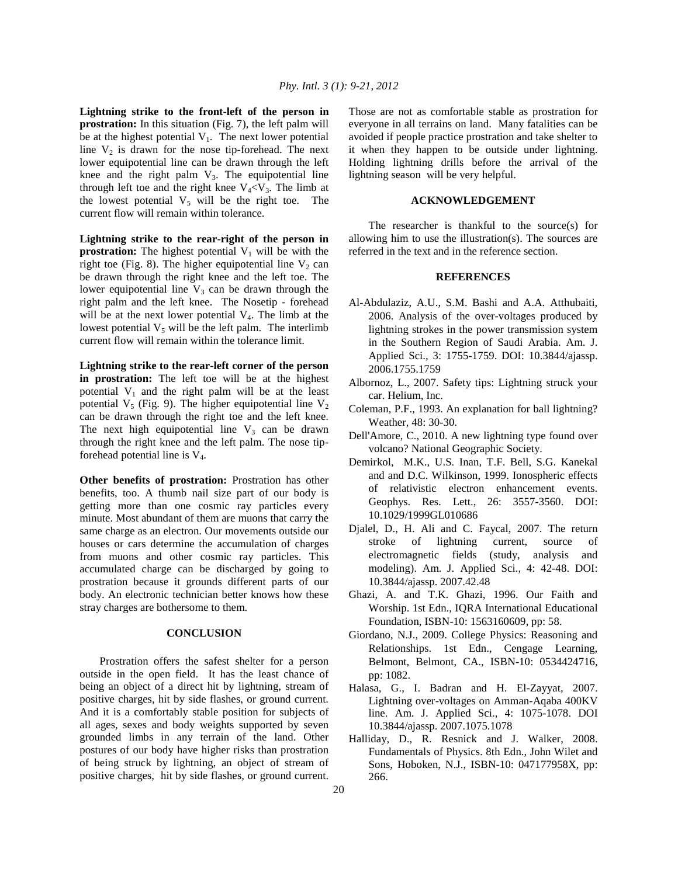**Lightning strike to the front-left of the person in prostration:** In this situation (Fig. 7), the left palm will be at the highest potential  $V_1$ . The next lower potential line  $V_2$  is drawn for the nose tip-forehead. The next lower equipotential line can be drawn through the left knee and the right palm  $V_3$ . The equipotential line through left toe and the right knee  $V_4 < V_3$ . The limb at the lowest potential  $V_5$  will be the right toe. The current flow will remain within tolerance.

**Lightning strike to the rear-right of the person in prostration:** The highest potential  $V_1$  will be with the right toe (Fig. 8). The higher equipotential line  $V_2$  can be drawn through the right knee and the left toe. The lower equipotential line  $V_3$  can be drawn through the right palm and the left knee. The Nosetip - forehead will be at the next lower potential  $V_4$ . The limb at the lowest potential  $V_5$  will be the left palm. The interlimb current flow will remain within the tolerance limit.

**Lightning strike to the rear-left corner of the person in prostration:** The left toe will be at the highest potential  $V_1$  and the right palm will be at the least potential  $V_5$  (Fig. 9). The higher equipotential line  $V_2$ can be drawn through the right toe and the left knee. The next high equipotential line  $V_3$  can be drawn through the right knee and the left palm. The nose tipforehead potential line is  $V_4$ .

**Other benefits of prostration:** Prostration has other benefits, too. A thumb nail size part of our body is getting more than one cosmic ray particles every minute. Most abundant of them are muons that carry the same charge as an electron. Our movements outside our houses or cars determine the accumulation of charges from muons and other cosmic ray particles. This accumulated charge can be discharged by going to prostration because it grounds different parts of our body. An electronic technician better knows how these stray charges are bothersome to them.

# **CONCLUSION**

 Prostration offers the safest shelter for a person outside in the open field. It has the least chance of being an object of a direct hit by lightning, stream of positive charges, hit by side flashes, or ground current. And it is a comfortably stable position for subjects of all ages, sexes and body weights supported by seven grounded limbs in any terrain of the land. Other postures of our body have higher risks than prostration of being struck by lightning, an object of stream of positive charges, hit by side flashes, or ground current.

Those are not as comfortable stable as prostration for everyone in all terrains on land. Many fatalities can be avoided if people practice prostration and take shelter to it when they happen to be outside under lightning. Holding lightning drills before the arrival of the lightning season will be very helpful.

### **ACKNOWLEDGEMENT**

 The researcher is thankful to the source(s) for allowing him to use the illustration(s). The sources are referred in the text and in the reference section.

# **REFERENCES**

- Al-Abdulaziz, A.U., S.M. Bashi and A.A. Atthubaiti, 2006. Analysis of the over-voltages produced by lightning strokes in the power transmission system in the Southern Region of Saudi Arabia. Am. J. Applied Sci., 3: 1755-1759. DOI: 10.3844/ajassp. 2006.1755.1759
- Albornoz, L., 2007. Safety tips: Lightning struck your car. Helium, Inc.
- Coleman, P.F., 1993. An explanation for ball lightning? Weather, 48: 30-30.
- Dell'Amore, C., 2010. A new lightning type found over volcano? National Geographic Society.
- Demirkol, M.K., U.S. Inan, T.F. Bell, S.G. Kanekal and and D.C. Wilkinson, 1999. Ionospheric effects of relativistic electron enhancement events. Geophys. Res. Lett., 26: 3557-3560. DOI: 10.1029/1999GL010686
- Djalel, D., H. Ali and C. Faycal, 2007. The return stroke of lightning current, source of electromagnetic fields (study, analysis and modeling). Am. J. Applied Sci., 4: 42-48. DOI: 10.3844/ajassp. 2007.42.48
- Ghazi, A. and T.K. Ghazi, 1996. Our Faith and Worship. 1st Edn., IQRA International Educational Foundation, ISBN-10: 1563160609, pp: 58.
- Giordano, N.J., 2009. College Physics: Reasoning and Relationships. 1st Edn., Cengage Learning, Belmont, Belmont, CA., ISBN-10: 0534424716, pp: 1082.
- Halasa, G., I. Badran and H. El-Zayyat, 2007. Lightning over-voltages on Amman-Aqaba 400KV line. Am. J. Applied Sci., 4: 1075-1078. DOI 10.3844/ajassp. 2007.1075.1078
- Halliday, D., R. Resnick and J. Walker, 2008. Fundamentals of Physics. 8th Edn., John Wilet and Sons, Hoboken, N.J., ISBN-10: 047177958X, pp: 266.